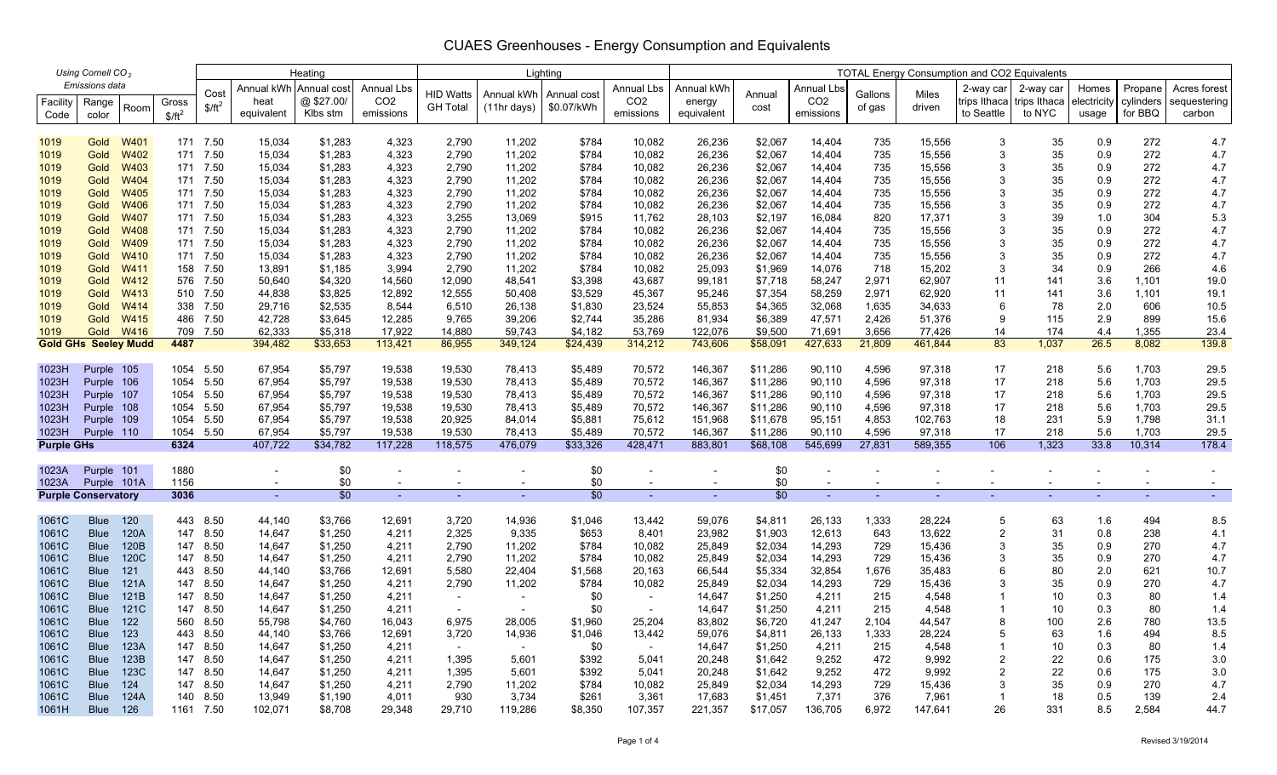### 1019 Gold W401 171 7.50 15,034 \$1,283 4,323 2,790 11,202 \$784 10,082 26,236 \$2,067 14,404 735 15,556 3 35 0.9 272 4.7 1019 Gold W402 171 7.50 15,034 \$1,283 4,323 2,790 11,202 \$784 10,082 26,236 \$2,067 14,404 735 15,556 3 35 0.9 272 4.7 1019 Gold W403 171 7.50 15,034 \$1,283 4,323 2,790 11,202 \$784 10,082 26,236 \$2,067 14,404 735 15,556 3 35 0.9 272 4.7 1019 Gold W404 171 7.50 15,034 \$1,283 4,323 2,790 11,202 \$784 10,082 26,236 \$2,067 14,404 735 15,556 3 35 0.9 272 4.7 1019 Gold W405 171 7.50 15,034 \$1,283 4,323 2,790 11,202 \$784 10,082 26,236 \$2,067 14,404 735 15,556 3 35 0.9 272 4.7 1019 Gold W406 171 7.50 15,034 \$1,283 4,323 2,790 11,202 \$784 10,082 26,236 \$2,067 14,404 735 15,556 3 35 0.9 272 4.7 1019 Gold W407 171 7.50 15,034 \$1,283 4,323 3,255 13,069 \$915 11,762 28,103 \$2,197 16,084 820 17,371 3 39 1.0 304 5.3 1019 Gold W408 171 7.50 15,034 \$1,283 4,323 2,790 11,202 \$784 10,082 26,236 \$2,067 14,404 735 15,556 3 35 0.9 272 4.7 1019 Gold W409 171 7.50 15,034 \$1,283 4,323 2,790 11,202 \$784 10,082 26,236 \$2,067 14,404 735 15,556 3 35 0.9 272 4.7 1019 Gold W410 171 7.50 15,034 \$1,283 4,323 2,790 11,202 \$784 10,082 26,236 \$2,067 14,404 735 15,556 3 35 0.9 272 4.7 1019 Gold W411 158 7.50 13,891 \$1,185 3,994 2,790 11,202 \$784 10,082 25,093 \$1,969 14,076 718 15,202 3 34 0.9 266 4.6 1019 Gold W412 576 7.50 50,640 \$4,320 14,560 12,090 48,541 \$3,398 43,687 99,181 \$7,718 58,247 2,971 62,907 11 141 3.6 1,101 19.0 1019 Gold W413 510 7.50 44,838 \$3,825 12,892 12,555 50,408 \$3,529 45,367 95,246 \$7,354 58,259 2,971 62,920 11 141 3.6 1,101 19.1 1019 Gold W414 338 7.50 29,716 \$2,535 8,544 6,510 26,138 \$1,830 23,524 55,853 \$4,365 32,068 1,635 34,633 6 78 2.0 606 10.5 1019 Gold W415 486 7.50 42,728 \$3,645 12,285 9,765 39,206 \$2,744 35,286 81,934 \$6,389 47,571 2,426 51,376 9 115 2.9 899 15.6 1019 Gold W416 709 7.50 62,333 \$5,318 17,922 14,880 59,743 \$4,182 53,769 122,076 \$9,500 71,691 3,656 77,426 14 174 4.4 1,355 23.4 **Gold GHs Seeley Mudd 4487** 394,482 \$33,653 113,421 86,955 349,124 \$24,439 314,212 743,606 \$58,091 427,633 21,809 461,844 83 1,037 26.5 8,082 139.8 1023H Purple 105 1054 5.50 67,954 \$5,797 19,538 19,530 78,413 \$5,489 70,572 146,367 \$11,286 90,110 4,596 97,318 17 218 5.6 1,703 29.5 1023H Purple 106 1054 5.50 67,954 \$5,797 19,538 19,530 78,413 \$5,489 70,572 146,367 \$11,286 90,110 4,596 97,318 17 218 5.6 1,703 29.5 1023H Purple 107 1054 5.50 67,954 \$5,797 19,538 19,530 78,413 \$5,489 70,572 146,367 \$11,286 90,110 4,596 97,318 17 218 5.6 1,703 29.5 1023H Purple 108 1054 5.50 67,954 \$5,797 19,538 19,530 78,413 \$5,489 70,572 146,367 \$11,286 90,110 4,596 97,318 17 218 5.6 1,703 29.5 1023H Purple 109 1054 5.50 67,954 \$5,797 19,538 20,925 84,014 \$5,881 75,612 151,968 \$11,678 95,151 4,853 102,763 18 231 5.9 1,798 31.1 1023H Purple 110 1054 5.50 67,954 \$5,797 19,538 19,530 78,413 \$5,489 70,572 146,367 \$11,286 90,110 4,596 97,318 17 218 5.6 1,703 29.5 **Purple GHs 6324** 407,722 \$34,782 117,228 118,575 476,079 \$33,326 428,471 883,801 \$68,108 545,699 27,831 589,355 106 1,323 33.8 10,314 178.4 1023AA Purple 101 | 1880 - \$0 - - \$0 - \$0 - - - - - - -1023A Purple 101A 1156 - \$0 - - - \$0 - - \$0 - - - - - - - - **Purple Conservatory 3036** - \$0 - - - \$0 - - \$0 - - - - - - - - 1061C Blue 120 443 8.50 44,140 \$3,766 12,691 3,720 14,936 \$1,046 13,442 59,076 \$4,811 26,133 1,333 28,224 5 63 1.6 494 8.5 1061C Blue 120A 147 8.50 14,647 \$1,250 4,211 2,325 9,335 \$653 8,401 23,982 \$1,903 12,613 643 13,622 2 31 0.8 238 4.1 1061C Blue 120B 147 8.50 14,647 \$1,250 4,211 2,790 11,202 \$784 10,082 25,849 \$2,034 14,293 729 15,436 3 35 0.9 270 4.7 1061C Blue 120C 147 8.50 14,647 \$1,250 4,211 2,790 11,202 \$784 10,082 25,849 \$2,034 14,293 729 15,436 3 35 0.9 270 4.7 1061C Blue 121 443 8.50 44,140 \$3,766 12,691 5,580 22,404 \$1,568 20,163 66,544 \$5,334 32,854 1,676 35,483 6 80 2.0 621 10.7 1061C Blue 121A 147 8.50 14,647 \$1,250 4,211 2,790 11,202 \$784 10,082 25,849 \$2,034 14,293 729 15,436 3 35 0.9 270 4.7 1061C Blue 121B 147 8.50 14,647 \$1,250 4,211 - - \$0 - 14,647 \$1,250 4,211 215 4,548 1 10 0.3 80 1.4 1061C Blue 121C 147 8.50 14,647 \$1,250 4,211 - - \$0 - 14,647 \$1,250 4,211 215 4,548 1 10 0.3 80 1.4 1061C Blue 122 560 8.50 55,798 \$4,760 16,043 6,975 28,005 \$1,960 25,204 83,802 \$6,720 41,247 2,104 44,547 8 100 2.6 780 13.5 1061C Blue 123 443 8.50 44,140 \$3,766 12,691 3,720 14,936 \$1,046 13,442 59,076 \$4,811 26,133 1,333 28,224 5 63 1.6 494 8.5 1061CC Blue 123A 147 8.50 14,647 \$1,250 4,211 - \$0 - 14,647 \$1,250 4,211 215 4,548 1 10 0.3 80 1.4 1061C Blue 123B 147 8.50 14,647 \$1,250 4,211 1,395 5,601 \$392 5,041 20,248 \$1,642 9,252 472 9,992 2 22 0.6 175 3.0 1061C Blue 123C 147 8.50 14,647 \$1,250 4,211 1,395 5,601 \$392 5,041 20,248 \$1,642 9,252 472 9,992 2 22 0.6 175 3.0 1061C Blue 124 147 8.50 14,647 \$1,250 4,211 2,790 11,202 \$784 10,082 25,849 \$2,034 14,293 729 15,436 3 35 0.9 270 4.7 1061C Blue 124A 140 8.50 13,949 \$1,190 4,011 930 3,734 \$261 3,361 17,683 \$1,451 7,371 376 7,961 1 18 0.5 139 2.4 1061H Blue 126 1161 7.50 102,071 \$8,708 29,348 29,710 119,286 \$8,350 107,357 221,357 \$17,057 136,705 6,972 147,641 26 331 8.5 2,584 44.7 *Using Cornell CO<sub>2</sub>* Emissions data **2-way car | Annual kWh Annual cost** | Annual Lbs | <sub>UID We</sub>tte | Annual Living | Annual Lbs | Annual Living | Annual Living | Annual Living | Annual Living | Annual Living | Annual Living | Annual Living | trips Ithaca to NYC Propane cylinders for BBQ Homes electricity usage Heating **Lighting Lighting Lighting Lighting Lighting Lighting Lighting Lighting Lighting Lighting Lighting Lighting Lighting Lighting Lighting Lighting Lighting Lighting Lighting Lighting Lighting Lighting Lighting Ligh** Annual Lbs CO2 emissions Gallons of gas Milesdriven Acres forest sequestering carbon Annual kWh energy equivalent Range e color Room | Facility Code Cost Gross  $$/ft^2$$  2-way car trips Ithaca to Seattle Annual kWh heat equivalent Annual cost @ \$27.00/ Klbs stm Annual Lbs CO2 emissions HID Watts GH Total Annual kWh(11hr days) Annual cost\$0.07/kWh Annual Lbs CO2 emissions Annual cost Emissions data Heating Lighting Lighting Lighting Lighting Lighting Lighting Lighting Lighting Reserves and Consumption and Co 4487 6324 3036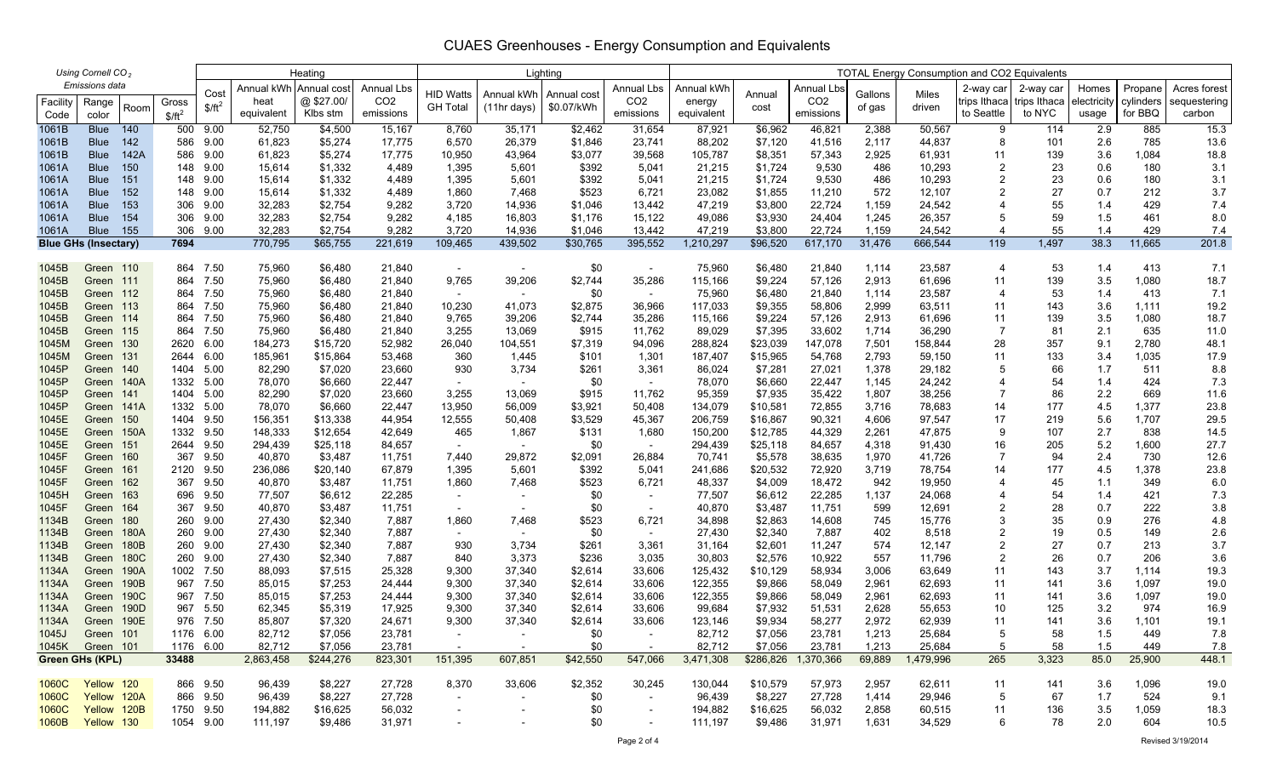| Using Cornell CO <sub>2</sub> |                  |              |             |              | Heating          |                    |                 |                          | Lighting         |                  | <b>TOTAL Energy Consumption and CO2 Equivalents</b> |                   |                     |                     |              |                  |                |              |             |              |              |
|-------------------------------|------------------|--------------|-------------|--------------|------------------|--------------------|-----------------|--------------------------|------------------|------------------|-----------------------------------------------------|-------------------|---------------------|---------------------|--------------|------------------|----------------|--------------|-------------|--------------|--------------|
| Emissions data                |                  |              |             | Annual kWh   | Annual cost      | Annual Lbs         |                 |                          |                  | Annual Lbs       | Annual kWh                                          |                   | <b>Annual Lbs</b>   |                     |              | 2-way car        | 2-way car      | Homes        | Propane     | Acres forest |              |
| Facility                      | Range            |              | Gross       | Cost         | heat             | @\$27.00/          | CO <sub>2</sub> | <b>HID Watts</b>         | Annual kWh       | Annual cost      | CO <sub>2</sub>                                     | energy            | Annual              | CO <sub>2</sub>     | Gallons      | Miles            | trips Ithaca   | trips Ithaca | electricity | cylinders    | sequestering |
| Code                          | color            | Room         | $$/ft^2$    | $$/ft^2$     | equivalent       | Klbs stm           | emissions       | <b>GH Total</b>          | $(11hr \, days)$ | \$0.07/kWh       | emissions                                           | equivalent        | cost                | emissions           | of gas       | driven           | to Seattle     | to NYC       | usage       | for BBQ      | carbon       |
| 1061B                         | <b>Blue</b>      | 140          | 500         | 9.00         | 52,750           | \$4,500            | 15,167          | 8,760                    | 35,171           | \$2,462          | 31,654                                              | 87,921            | \$6,962             | 46,821              | 2,388        | 50,567           | 9              | 114          | 2.9         | 885          | 15.3         |
| 1061B                         | <b>Blue</b>      | 142          | 586         | 9.00         | 61,823           | \$5,274            | 17,775          | 6,570                    | 26,379           | \$1,846          | 23,741                                              | 88,202            | \$7,120             | 41,516              | 2,117        | 44,837           | 8              | 101          | 2.6         | 785          | 13.6         |
| 1061B                         | <b>Blue</b>      | 142A         | 586         | 9.00         | 61,823           | \$5,274            | 17,775          | 10,950                   | 43,964           | \$3,077          | 39,568                                              | 105,787           | \$8,351             | 57,343              | 2,925        | 61,931           | 11             | 139          | 3.6         | 1,084        | 18.8         |
| 1061A                         | <b>Blue</b>      | 150          | 148         | 9.00         | 15,614           | \$1,332            | 4,489           | 1,395                    | 5,601            | \$392            | 5,041                                               | 21,215            | \$1,724             | 9,530               | 486          | 10,293           | $\overline{c}$ | 23           | 0.6         | 180          | 3.1          |
| 1061A                         | <b>Blue</b>      | 151          | 148         | 9.00         | 15,614           | \$1,332            | 4,489           | 1,395                    | 5,601            | \$392            | 5,041                                               | 21,215            | \$1,724             | 9,530               | 486          | 10,293           | 2              | 23           | 0.6         | 180          | 3.1          |
| 1061A                         | <b>Blue</b>      | 152          | 148         | 9.00         | 15,614           | \$1,332            | 4,489           | 1,860                    | 7,468            | \$523            | 6,721                                               | 23,082            | \$1,855             | 11,210              | 572          | 12,107           | 2              | 27           | 0.7         | 212          | 3.7          |
| 1061A                         | <b>Blue</b>      | 153          | 306         | 9.00         | 32,283           | \$2,754            | 9,282           | 3,720                    | 14,936           | \$1,046          | 13,442                                              | 47,219            | \$3,800             | 22,724              | 1,159        | 24,542           | 4              | 55           | 1.4         | 429          | 7.4          |
| 1061A                         | <b>Blue</b>      | 154          | 306         | 9.00         | 32,283           | \$2,754            | 9,282           | 4,185                    | 16,803           | \$1,176          | 15,122                                              | 49,086            | \$3,930             | 24,404              | 1,245        | 26,357           | 5              | 59           | 1.5         | 461          | 8.0          |
| 1061A                         | <b>Blue</b>      | 155          | 306         | 9.00         | 32,283           | \$2,754            | 9,282           | 3,720                    | 14,936           | \$1,046          | 13,442                                              | 47,219            | \$3,800             | 22,724              | 1,159        | 24,542           | 4              | 55           | 1.4         | 429          | 7.4          |
| <b>Blue GHs (Insectary)</b>   |                  |              | 7694        |              | 770,795          | \$65,755           | 221,619         | 109,465                  | 439,502          | \$30,765         | 395,552                                             | 1,210,297         | \$96,520            | 617,170             | 31,476       | 666,544          | 119            | 1,497        | 38.3        | 11,665       | 201.8        |
| 1045B                         | Green 110        |              | 864         | 7.50         | 75,960           | \$6,480            | 21,840          | $\overline{\phantom{a}}$ |                  | \$0              | $\overline{\phantom{a}}$                            | 75,960            | \$6,480             | 21,840              | 1,114        | 23,587           | 4              | 53           | 1.4         | 413          | 7.1          |
| 1045B                         | Green 111        |              | 864         | 7.50         | 75,960           | \$6,480            | 21,840          | 9,765                    | 39,206           | \$2,744          | 35,286                                              | 115,166           | \$9,224             | 57,126              | 2,913        | 61,696           | 11             | 139          | 3.5         | 1,080        | 18.7         |
| 1045B                         | Green 112        |              | 864         | 7.50         | 75,960           | \$6,480            | 21,840          | $\sim$                   | $\sim$           | \$0              | $\overline{\phantom{a}}$                            | 75,960            | \$6,480             | 21,840              | 1,114        | 23,587           | 4              | 53           | 1.4         | 413          | 7.1          |
| 1045B                         | Green 113        |              | 864         | 7.50         | 75,960           | \$6,480            | 21,840          | 10,230                   | 41,073           | \$2,875          | 36,966                                              | 117,033           | \$9,355             | 58,806              | 2,999        | 63,511           | 11             | 143          | 3.6         | 1,111        | 19.2         |
| 1045B                         | Green 114        |              | 864         | 7.50         | 75,960           | \$6,480            | 21,840          | 9,765                    | 39,206           | \$2,744          | 35,286                                              | 115,166           | \$9,224             | 57,126              | 2,913        | 61,696           | 11             | 139          | 3.5         | 1,080        | 18.7         |
| 1045B                         | Green 115        |              | 864         | 7.50         | 75,960           | \$6,480            | 21,840          | 3,255                    | 13,069           | \$915            | 11,762                                              | 89,029            | \$7,395             | 33,602              | 1,714        | 36,290           | $\overline{7}$ | 81           | 2.1         | 635          | 11.0         |
| 1045M                         | Green            | 130          | 2620        | 6.00         | 184,273          | \$15,720           | 52,982          | 26,040                   | 104,551          | \$7,319          | 94,096                                              | 288,824           | \$23,039            | 147,078             | 7,501        | 158,844          | 28             | 357          | 9.1         | 2,780        | 48.1         |
| 1045M                         | Green 131        |              | 2644        | 6.00         | 185,961          | \$15,864           | 53,468          | 360                      | 1,445            | \$101            | 1,301                                               | 187,407           | \$15,965            | 54,768              | 2,793        | 59,150           | 11             | 133          | 3.4         | 1,035        | 17.9         |
| 1045P                         | Green 140        |              | 1404        | 5.00         | 82,290           | \$7,020            | 23,660          | 930                      | 3,734            | \$261            | 3,361                                               | 86,024            | \$7,281             | 27,021              | 1,378        | 29,182           | 5              | 66           | 1.7         | 511          | 8.8          |
| 1045P                         | Green            | 140A         | 1332        | 5.00         | 78,070           | \$6,660            | 22,447          |                          |                  | \$0              | $\overline{\phantom{a}}$                            | 78,070            | \$6,660             | 22,447              | 1,145        | 24,242           | 4              | 54           | 1.4         | 424          | 7.3          |
| 1045P                         | Green            | 141          | 1404        | 5.00         | 82,290           | \$7,020            | 23,660          | 3,255                    | 13,069           | \$915            | 11,762                                              | 95,359            | \$7,935             | 35,422              | 1,807        | 38,256           | $\overline{7}$ | 86           | 2.2         | 669          | 11.6         |
| 1045P                         | Green 141A       |              | 1332        | 5.00         | 78,070           | \$6,660            | 22,447          | 13,950                   | 56,009           | \$3,921          | 50,408                                              | 134,079           | \$10,581            | 72,855              | 3,716        | 78,683           | 14             | 177          | 4.5         | 1,377        | 23.8         |
| 1045E                         | Green            | 150          | 1404        | 9.50         | 156,351          | \$13,338           | 44,954          | 12,555                   | 50,408           | \$3,529          | 45,367                                              | 206,759           | \$16,867            | 90,321              | 4,606        | 97,547           | 17             | 219          | 5.6         | 1,707        | 29.5         |
| 1045E                         | Green 150A       |              | 1332        | 9.50         | 148,333          | \$12,654           | 42,649          | 465                      | 1,867            | \$131            | 1,680                                               | 150,200           | \$12,785            | 44,329              | 2,261        | 47,875           | 9              | 107          | 2.7         | 838          | 14.5         |
| 1045E                         | Green            | 151          | 2644        | 9.50         | 294,439          | \$25,118           | 84,657          | $\sim$                   | $\sim$           | \$0              | $\sim$                                              | 294,439           | \$25,118            | 84,657              | 4,318        | 91,430           | 16             | 205          | 5.2         | 1,600        | 27.7         |
| 1045F                         | Green            | 160          | 367         | 9.50         | 40,870           | \$3,487            | 11,751          | 7,440                    | 29,872           | \$2,091          | 26,884                                              | 70,741            | \$5,578             | 38,635              | 1,970        | 41,726           | $\overline{7}$ | 94           | 2.4         | 730          | 12.6         |
| 1045F                         | Green 161        |              | 2120        | 9.50         | 236,086          | \$20,140           | 67,879          | 1,395                    | 5,601            | \$392            | 5,041                                               | 241,686           | \$20,532            | 72,920              | 3,719        | 78,754           | 14             | 177          | 4.5         | 1,378        | 23.8         |
| 1045F                         | Green            | 162          | 367         | 9.50         | 40,870           | \$3,487            | 11,751          | 1,860                    | 7,468            | \$523            | 6,721                                               | 48,337            | \$4,009             | 18,472              | 942          | 19,950           | 4              | 45           | 1.1         | 349          | 6.0          |
| 1045H                         | Green            | 163          | 696         | 9.50         | 77,507           | \$6,612            | 22,285          |                          |                  | \$0              | $\overline{\phantom{a}}$                            | 77,507            | \$6,612             | 22,285              | 1,137        | 24,068           | 4              | 54           | 1.4         | 421          | 7.3          |
| 1045F                         | Green            | 164          | 367         | 9.50         | 40,870           | \$3,487            | 11,751          | $\sim$                   | $\sim$           | \$0              | $\sim$                                              | 40,870            | \$3,487             | 11,751              | 599          | 12,691           | 2              | 28           | 0.7         | 222          | 3.8          |
| 1134B                         | Green            | 180          | 260         | 9.00         | 27,430           | \$2,340            | 7,887           | 1,860                    | 7,468            | \$523            | 6,721                                               | 34,898            | \$2,863             | 14,608              | 745          | 15,776           | 3              | 35           | 0.9         | 276          | 4.8          |
| 1134B                         | Green            | 180A         | 260         | 9.00         | 27,430           | \$2,340            | 7,887           | $\sim$                   | $\sim$           | \$0              | $\sim$                                              | 27,430            | \$2,340             | 7,887               | 402          | 8,518            | 2              | 19           | 0.5         | 149          | 2.6          |
| 1134B                         | Green            | 180B         | 260         | 9.00         | 27,430           | \$2,340            | 7,887           | 930                      | 3,734            | \$261            | 3,361                                               | 31,164            | \$2,601             | 11,247              | 574          | 12,147           | 2<br>2         | 27<br>26     | 0.7         | 213<br>206   | 3.7          |
| 1134B<br>1134A                | Green<br>Green   | 180C<br>190A | 260<br>1002 | 9.00<br>7.50 | 27,430<br>88,093 | \$2,340<br>\$7,515 | 7,887<br>25,328 | 840<br>9,300             | 3,373<br>37,340  | \$236<br>\$2,614 | 3,035<br>33,606                                     | 30,803<br>125,432 | \$2,576<br>\$10,129 | 10,922<br>58,934    | 557<br>3,006 | 11,796<br>63,649 | 11             | 143          | 0.7<br>3.7  | 1,114        | 3.6<br>19.3  |
| 1134A                         | Green            | 190B         | 967         | 7.50         | 85,015           | \$7,253            | 24,444          | 9,300                    | 37,340           | \$2,614          | 33,606                                              | 122,355           | \$9,866             | 58,049              | 2,961        | 62,693           | 11             | 141          | 3.6         | 1,097        | 19.0         |
| 1134A                         | Green            | 190C         | 967         | 7.50         | 85,015           | \$7,253            | 24,444          | 9,300                    | 37,340           | \$2,614          | 33,606                                              | 122,355           | \$9,866             | 58,049              | 2,961        | 62,693           | 11             | 141          | 3.6         | 1,097        | 19.0         |
| 1134A                         | Green            | 190D         | 967         | 5.50         | 62,345           | \$5,319            | 17,925          | 9,300                    | 37,340           | \$2,614          | 33,606                                              | 99,684            | \$7,932             | 51,531              | 2,628        | 55,653           | 10             | 125          | 3.2         | 974          | 16.9         |
| 1134A                         | Green 190E       |              |             | 976 7.50     | 85,807           | \$7,320            | 24,671          | 9,300                    | 37,340           | \$2,614          | 33,606                                              | 123,146           | \$9,934             | 58,277              | 2,972        | 62,939           | 11             | 141          | 3.6         | 1,101        | 19.1         |
|                               | 1045J Green 101  |              |             | 1176 6.00    | 82,712           | \$7,056            | 23,781          |                          |                  | \$0              |                                                     | 82,712            | \$7,056             | 23,781              | 1,213        | 25,684           | 5              | 58           | 1.5         | 449          | 7.8          |
|                               | 1045K Green 101  |              | 1176 6.00   |              | 82,712           | \$7,056            | 23,781          | $\sim$                   |                  | \$0              | $\sim$                                              | 82,712            | \$7,056             | 23,781              | 1,213        | 25,684           | 5              | 58           | 1.5         | 449          | 7.8          |
| <b>Green GHs (KPL)</b>        |                  |              | 33488       |              | 2,863,458        | \$244,276          | 823,301         | 151,395                  | 607,851          | \$42,550         | 547,066                                             | 3,471,308         |                     | \$286,826 1,370,366 | 69,889       | 1,479,996        | 265            | 3,323        | 85.0        | 25,900       | 448.1        |
|                               |                  |              |             |              |                  |                    |                 |                          |                  |                  |                                                     |                   |                     |                     |              |                  |                |              |             |              |              |
| 1060C Yellow 120              |                  |              |             | 866 9.50     | 96,439           | \$8,227            | 27,728          | 8,370                    | 33,606           | \$2,352          | 30,245                                              | 130,044           | \$10,579            | 57,973              | 2,957        | 62,611           | 11             | 141          | 3.6         | 1,096        | 19.0         |
| 1060C                         | Yellow 120A      |              |             | 866 9.50     | 96,439           | \$8,227            | 27,728          | $\sim$                   | $\sim$           | \$0              | $\sim$                                              | 96,439            | \$8,227             | 27,728              | 1,414        | 29,946           | 5              | 67           | 1.7         | 524          | 9.1          |
| 1060C                         | Yellow 120B      |              |             | 1750 9.50    | 194,882          | \$16,625           | 56,032          |                          |                  | \$0              | $\overline{\phantom{a}}$                            | 194,882           | \$16,625            | 56,032              | 2,858        | 60,515           | 11             | 136          | 3.5         | 1,059        | 18.3         |
|                               | 1060B Yellow 130 |              |             | 1054 9.00    | 111,197          | \$9,486            | 31,971          | $\sim$                   | $\sim$           | \$0              | $\sim$                                              | 111,197           | \$9,486             | 31,971              | 1,631        | 34,529           | 6              | 78           | 2.0         | 604          | 10.5         |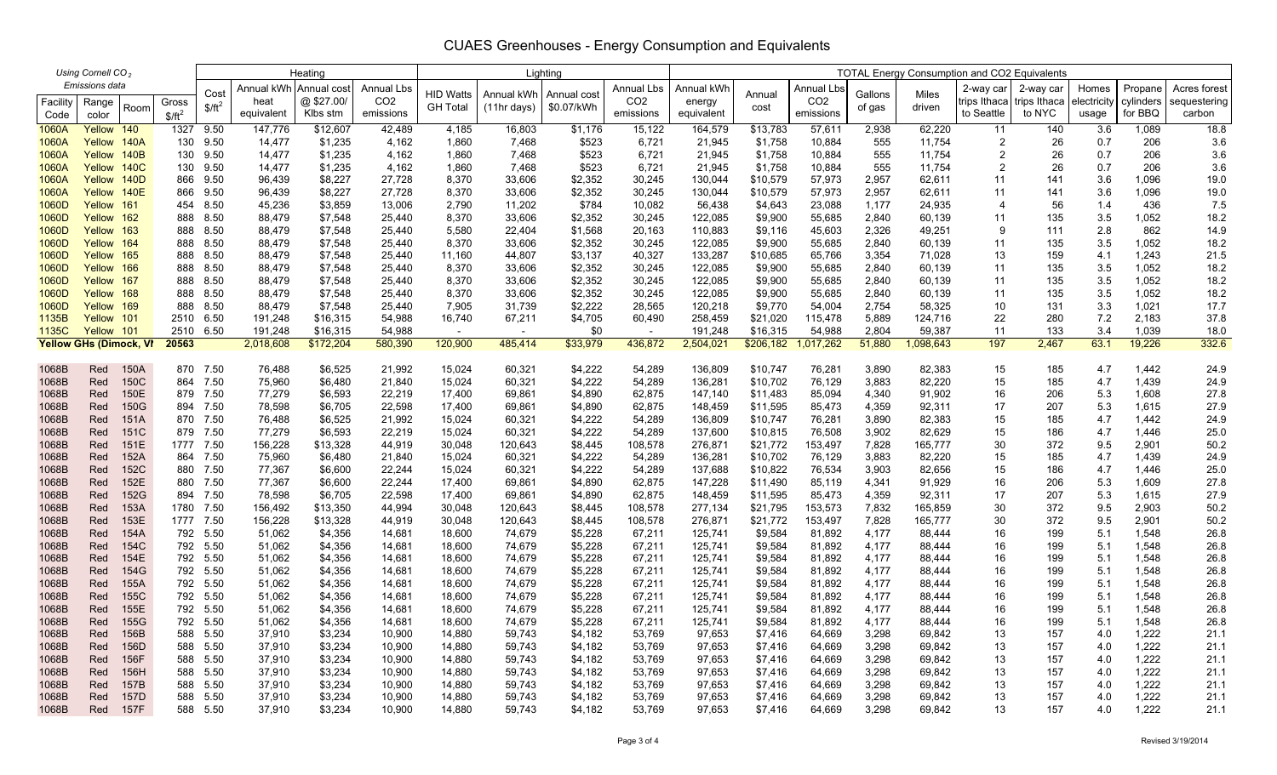| Using Cornell CO <sub>2</sub> |                                |              |            |                      |                  | Heating                |                   | Lighting         |                  |                    |                  | <b>TOTAL Energy Consumption and CO2 Equivalents</b> |                      |                   |                |                  |                |              |             |                |              |  |
|-------------------------------|--------------------------------|--------------|------------|----------------------|------------------|------------------------|-------------------|------------------|------------------|--------------------|------------------|-----------------------------------------------------|----------------------|-------------------|----------------|------------------|----------------|--------------|-------------|----------------|--------------|--|
|                               | Emissions data                 |              |            |                      |                  | Annual kWh Annual cost | <b>Annual Lbs</b> |                  |                  |                    | Annual Lbs       | Annual kWh                                          |                      | <b>Annual Lbs</b> |                |                  | 2-way car      | 2-way car    | Homes       | Propane        | Acres forest |  |
| Facility                      | Range                          |              | Gross      | Cost                 | heat             | @\$27.00/              | CO <sub>2</sub>   | <b>HID Watts</b> | Annual kWh       | Annual cost        | CO <sub>2</sub>  | energy                                              | Annual               | CO <sub>2</sub>   | Gallons        | Miles            | trips Ithaca   | trips Ithaca | electricity | cylinders      | sequestering |  |
| Code                          | color                          | Room         | $$/ft^2$   | $$/ft^2$             | equivalent       | Klbs stm               | emissions         | <b>GH Total</b>  | $(11hr$ days)    | \$0.07/kWh         | emissions        | equivalent                                          | cost                 | emissions         | of gas         | driven           | to Seattle     | to NYC       | usage       | for BBQ        | carbon       |  |
| 1060A                         | Yellow 140                     |              | 1327       | 9.50                 | 147,776          | \$12,607               | 42,489            | 4,185            | 16,803           | \$1,176            | 15,122           | 164,579                                             | \$13,783             | 57,611            | 2,938          | 62,220           | 11             | 140          | 3.6         | 1,089          | 18.8         |  |
| 1060A                         | Yellow 140A                    |              | 130        | 9.50                 | 14,477           | \$1,235                | 4,162             | 1,860            | 7,468            | \$523              | 6,721            | 21,945                                              | \$1,758              | 10,884            | 555            | 11,754           | $\overline{2}$ | 26           | 0.7         | 206            | 3.6          |  |
| 1060A                         | Yellow 140B                    |              | 130        | 9.50                 | 14,477           | \$1,235                | 4,162             | 1,860            | 7,468            | \$523              | 6,721            | 21,945                                              | \$1,758              | 10,884            | 555            | 11,754           | $\overline{2}$ | 26           | 0.7         | 206            | 3.6          |  |
| 1060A                         | Yellow 140C                    |              | 130        | 9.50                 | 14,477           | \$1,235                | 4,162             | 1,860            | 7,468            | \$523              | 6,721            | 21,945                                              | \$1,758              | 10,884            | 555            | 11,754           | 2              | 26           | 0.7         | 206            | 3.6          |  |
| 1060A                         | Yellow 140D                    |              | 866        | 9.50                 | 96,439           | \$8,227                | 27,728            | 8,370            | 33,606           | \$2,352            | 30,245           | 130,044                                             | \$10,579             | 57,973            | 2,957          | 62,611           | 11             | 141          | 3.6         | 1,096          | 19.0         |  |
| 1060A                         | Yellow 140E                    |              | 866        | 9.50                 | 96,439           | \$8,227                | 27,728            | 8,370            | 33,606           | \$2,352            | 30,245           | 130,044                                             | \$10,579             | 57,973            | 2,957          | 62,611           | 11             | 141          | 3.6         | 1,096          | 19.0         |  |
| 1060D                         | Yellow 161                     |              |            | 454 8.50             | 45,236           | \$3,859                | 13,006            | 2,790            | 11,202           | \$784              | 10,082           | 56,438                                              | \$4,643              | 23,088            | 1,177          | 24,935           | 4              | 56           | 1.4         | 436            | 7.5          |  |
| 1060D                         | Yellow 162                     |              | 888        | 8.50                 | 88,479           | \$7,548                | 25,440            | 8,370            | 33,606           | \$2,352            | 30,245           | 122,085                                             | \$9,900              | 55,685            | 2,840          | 60,139           | 11             | 135          | 3.5         | 1,052          | 18.2         |  |
| 1060D                         | Yellow 163                     |              | 888        | 8.50                 | 88,479           | \$7,548                | 25,440            | 5,580            | 22,404           | \$1,568            | 20,163           | 110,883                                             | \$9,116              | 45,603            | 2,326          | 49,251           | 9              | 111          | 2.8         | 862            | 14.9         |  |
| 1060D                         | Yellow 164                     |              | 888        | 8.50                 | 88,479           | \$7,548                | 25,440            | 8,370            | 33,606           | \$2,352            | 30,245           | 122,085                                             | \$9,900              | 55,685            | 2,840          | 60,139           | 11             | 135          | 3.5         | 1,052          | 18.2         |  |
| 1060D<br>1060D                | Yellow 165<br>Yellow 166       |              | 888<br>888 | 8.50<br>8.50         | 88,479<br>88,479 | \$7,548<br>\$7,548     | 25,440<br>25,440  | 11,160<br>8,370  | 44,807<br>33,606 | \$3,137<br>\$2,352 | 40,327<br>30,245 | 133,287<br>122,085                                  | \$10,685<br>\$9,900  | 65,766<br>55,685  | 3,354<br>2,840 | 71,028<br>60,139 | 13<br>11       | 159<br>135   | 4.1<br>3.5  | 1,243<br>1,052 | 21.5<br>18.2 |  |
| 1060D                         | Yellow 167                     |              | 888        | 8.50                 | 88,479           | \$7,548                | 25,440            | 8,370            | 33,606           | \$2,352            | 30,245           | 122,085                                             | \$9,900              | 55,685            | 2,840          | 60,139           | 11             | 135          | 3.5         | 1,052          | 18.2         |  |
| 1060D                         | Yellow 168                     |              | 888        | 8.50                 | 88,479           | \$7,548                | 25,440            | 8,370            | 33,606           | \$2,352            | 30,245           | 122,085                                             | \$9,900              | 55,685            | 2,840          | 60,139           | 11             | 135          | 3.5         | 1,052          | 18.2         |  |
| 1060D                         | Yellow 169                     |              | 888        | 8.50                 | 88,479           | \$7,548                | 25,440            | 7,905            | 31,739           | \$2,222            | 28,565           | 120,218                                             | \$9,770              | 54,004            | 2,754          | 58,325           | 10             | 131          | 3.3         | 1,021          | 17.7         |  |
| 1135B                         | Yellow 101                     |              |            | 2510 6.50            | 191,248          | \$16,315               | 54,988            | 16,740           | 67,211           | \$4,705            | 60,490           | 258,459                                             | \$21,020             | 115,478           | 5,889          | 124,716          | 22             | 280          | 7.2         | 2,183          | 37.8         |  |
| 1135C                         | Yellow 101                     |              | 2510       | 6.50                 | 191,248          | \$16,315               | 54,988            | $\sim$           |                  | \$0                |                  | 191,248                                             | \$16,315             | 54,988            | 2,804          | 59,387           | 11             | 133          | 3.4         | 1,039          | 18.0         |  |
|                               | <b>Yellow GHs (Dimock, VI)</b> |              | 20563      |                      | 2,018,608        | \$172,204              | 580,390           | 120,900          | 485,414          | \$33,979           | 436,872          | 2,504,021                                           | \$206,182            | ,017,262          | 51,880         | ,098,643         | 197            | 2,467        | 63.1        | 19,226         | 332.6        |  |
|                               |                                |              |            |                      |                  |                        |                   |                  |                  |                    |                  |                                                     |                      |                   |                |                  |                |              |             |                |              |  |
| 1068B                         | Red                            | 150A         |            | 870 7.50             | 76,488           | \$6,525                | 21,992            | 15,024           | 60,321           | \$4,222            | 54,289           | 136,809                                             | \$10,747             | 76,281            | 3,890          | 82,383           | 15             | 185          | 4.7         | 1,442          | 24.9         |  |
| 1068B                         | Red                            | 150C         |            | 864 7.50             | 75,960           | \$6,480                | 21,840            | 15,024           | 60,321           | \$4,222            | 54,289           | 136,281                                             | \$10,702             | 76,129            | 3,883          | 82,220           | 15             | 185          | 4.7         | 1,439          | 24.9         |  |
| 1068B                         | Red                            | 150E         |            | 879 7.50             | 77,279           | \$6,593                | 22,219            | 17,400           | 69,861           | \$4,890            | 62,875           | 147,140                                             | \$11,483             | 85,094            | 4,340          | 91,902           | 16             | 206          | 5.3         | 1,608          | 27.8         |  |
| 1068B                         | Red                            | 150G         |            | 894 7.50             | 78,598           | \$6,705                | 22,598            | 17,400           | 69,861           | \$4,890            | 62,875           | 148,459                                             | \$11,595             | 85,473            | 4,359          | 92,311           | 17             | 207          | 5.3         | 1,615          | 27.9         |  |
| 1068B                         | Red                            | 151A         |            | 870 7.50             | 76,488           | \$6,525                | 21,992            | 15,024           | 60,321           | \$4,222            | 54,289           | 136,809                                             | \$10,747             | 76,281            | 3,890          | 82,383           | 15             | 185          | 4.7         | 1,442          | 24.9         |  |
| 1068B                         | Red                            | 151C         |            | 879 7.50             | 77,279           | \$6,593                | 22,219            | 15,024           | 60,321           | \$4,222            | 54,289           | 137,600                                             | \$10,815             | 76,508            | 3,902          | 82,629           | 15             | 186          | 4.7         | 1,446          | 25.0         |  |
| 1068B                         | Red                            | 151E         |            | 1777 7.50            | 156,228          | \$13,328               | 44,919            | 30,048           | 120,643          | \$8,445            | 108,578          | 276,871                                             | \$21,772             | 153,497           | 7,828          | 165,777          | 30             | 372          | 9.5         | 2,901          | 50.2         |  |
| 1068B<br>1068B                | Red<br>Red                     | 152A<br>152C |            | 864 7.50<br>880 7.50 | 75,960<br>77,367 | \$6,480<br>\$6,600     | 21,840<br>22,244  | 15,024<br>15,024 | 60,321<br>60,321 | \$4,222<br>\$4,222 | 54,289<br>54,289 | 136,281<br>137,688                                  | \$10,702<br>\$10,822 | 76,129<br>76,534  | 3,883<br>3,903 | 82,220<br>82,656 | 15<br>15       | 185<br>186   | 4.7<br>4.7  | 1,439<br>1,446 | 24.9<br>25.0 |  |
| 1068B                         | Red                            | 152E         |            | 880 7.50             | 77,367           | \$6,600                | 22,244            | 17,400           | 69,861           | \$4,890            | 62,875           | 147,228                                             | \$11,490             | 85,119            | 4,341          | 91,929           | 16             | 206          | 5.3         | 1,609          | 27.8         |  |
| 1068B                         | Red                            | 152G         |            | 894 7.50             | 78,598           | \$6,705                | 22,598            | 17,400           | 69,861           | \$4,890            | 62,875           | 148,459                                             | \$11,595             | 85,473            | 4,359          | 92,311           | 17             | 207          | 5.3         | 1,615          | 27.9         |  |
| 1068B                         | Red                            | 153A         | 1780       | 7.50                 | 156,492          | \$13,350               | 44,994            | 30,048           | 120,643          | \$8,445            | 108,578          | 277,134                                             | \$21,795             | 153,573           | 7,832          | 165,859          | 30             | 372          | 9.5         | 2,903          | 50.2         |  |
| 1068B                         | Red                            | 153E         |            | 1777 7.50            | 156,228          | \$13,328               | 44,919            | 30,048           | 120,643          | \$8,445            | 108,578          | 276,871                                             | \$21,772             | 153,497           | 7,828          | 165,777          | 30             | 372          | 9.5         | 2,901          | 50.2         |  |
| 1068B                         | Red                            | 154A         | 792        | 5.50                 | 51,062           | \$4,356                | 14,681            | 18,600           | 74,679           | \$5,228            | 67,211           | 125,741                                             | \$9,584              | 81,892            | 4,177          | 88,444           | 16             | 199          | 5.1         | 1,548          | 26.8         |  |
| 1068B                         | Red                            | 154C         |            | 792 5.50             | 51,062           | \$4,356                | 14,681            | 18,600           | 74,679           | \$5,228            | 67,211           | 125,741                                             | \$9,584              | 81,892            | 4,177          | 88,444           | 16             | 199          | 5.1         | 1,548          | 26.8         |  |
| 1068B                         | Red                            | 154E         |            | 792 5.50             | 51,062           | \$4,356                | 14,681            | 18,600           | 74,679           | \$5,228            | 67,211           | 125,741                                             | \$9,584              | 81,892            | 4,177          | 88,444           | 16             | 199          | 5.1         | 1,548          | 26.8         |  |
| 1068B                         | Red                            | 154G         |            | 792 5.50             | 51,062           | \$4,356                | 14,681            | 18,600           | 74,679           | \$5,228            | 67,211           | 125,741                                             | \$9,584              | 81,892            | 4,177          | 88,444           | 16             | 199          | 5.1         | 1,548          | 26.8         |  |
| 1068B                         | Red                            | 155A         |            | 792 5.50             | 51,062           | \$4,356                | 14,681            | 18,600           | 74,679           | \$5,228            | 67,211           | 125,741                                             | \$9,584              | 81,892            | 4,177          | 88,444           | 16             | 199          | 5.1         | 1,548          | 26.8         |  |
| 1068B                         | Red                            | 155C         |            | 792 5.50             | 51,062           | \$4,356                | 14,681            | 18,600           | 74,679           | \$5,228            | 67,211           | 125,741                                             | \$9,584              | 81,892            | 4,177          | 88,444           | 16             | 199          | 5.1         | 1,548          | 26.8         |  |
| 1068B                         | Red                            | 155E         |            | 792 5.50             | 51,062           | \$4,356                | 14,681            | 18,600           | 74,679           | \$5,228            | 67,211           | 125,741                                             | \$9,584              | 81,892            | 4,177          | 88,444           | 16             | 199          | 5.1         | 1,548          | 26.8         |  |
| 1068B                         | Red                            | 155G         | 792        | 5.50                 | 51,062           | \$4,356                | 14,681            | 18,600           | 74,679           | \$5,228            | 67,211           | 125,741                                             | \$9,584              | 81,892            | 4,177          | 88,444           | 16             | 199          | 5.1         | 1,548          | 26.8         |  |
| 1068B                         | Red                            | 156B         |            | 588 5.50             | 37,910           | \$3,234                | 10,900            | 14,880           | 59,743           | \$4,182            | 53,769           | 97,653                                              | \$7,416              | 64,669            | 3,298          | 69,842           | 13             | 157          | 4.0         | 1,222          | 21.1         |  |
| 1068B                         | Red                            | 156D         | 588        | 5.50                 | 37,910           | \$3,234                | 10,900            | 14,880           | 59,743           | \$4,182            | 53,769           | 97,653                                              | \$7,416              | 64,669            | 3,298          | 69,842           | 13             | 157          | 4.0         | 1,222          | 21.1         |  |
| 1068B                         | Red                            | 156F         | 588        | 5.50                 | 37,910           | \$3,234                | 10,900            | 14,880           | 59,743           | \$4,182            | 53,769           | 97,653                                              | \$7,416              | 64,669            | 3,298          | 69,842           | 13             | 157          | 4.0         | 1,222          | 21.1         |  |
| 1068B                         | Red                            | 156H         | 588        | 5.50                 | 37,910           | \$3,234                | 10,900            | 14,880           | 59,743           | \$4,182            | 53,769           | 97,653                                              | \$7,416              | 64,669            | 3,298          | 69,842           | 13             | 157          | 4.0         | 1,222          | 21.1         |  |
| 1068B<br>1068B                | Red<br>Red                     | 157B<br>157D | 588<br>588 | 5.50<br>5.50         | 37,910<br>37,910 | \$3,234<br>\$3,234     | 10,900<br>10,900  | 14,880<br>14,880 | 59,743<br>59,743 | \$4,182<br>\$4,182 | 53,769<br>53,769 | 97,653<br>97,653                                    | \$7,416              | 64,669<br>64,669  | 3,298<br>3,298 | 69,842<br>69,842 | 13<br>13       | 157<br>157   | 4.0<br>4.0  | 1,222<br>1,222 | 21.1<br>21.1 |  |
| 1068B                         | Red                            | 157F         | 588        | 5.50                 | 37,910           | \$3,234                | 10,900            | 14,880           | 59,743           | \$4,182            | 53,769           | 97,653                                              | \$7,416<br>\$7,416   | 64,669            | 3,298          | 69,842           | 13             | 157          | 4.0         | 1,222          | 21.1         |  |
|                               |                                |              |            |                      |                  |                        |                   |                  |                  |                    |                  |                                                     |                      |                   |                |                  |                |              |             |                |              |  |